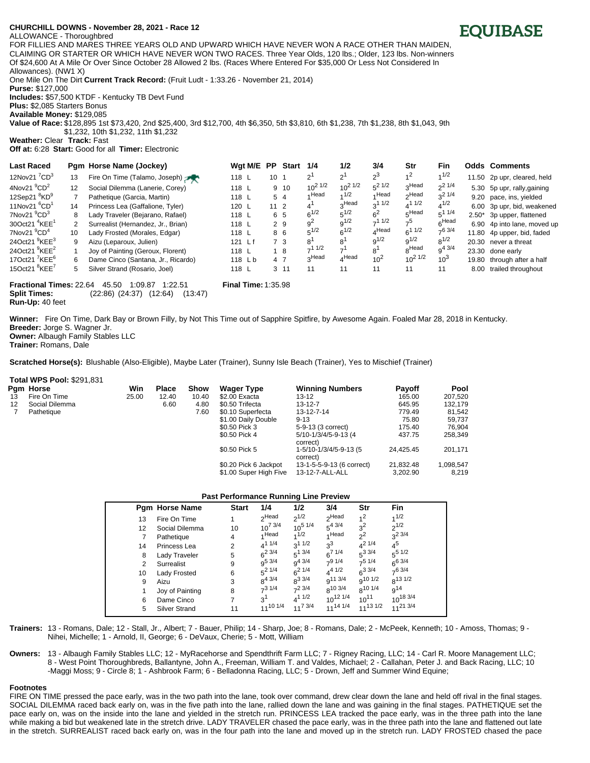## **CHURCHILL DO/WNS - November 28, 2021 - Race 12**

ALLOWANCE - Thoroughbred

FOR FILLIES AND MARES THREE YEARS OLD AND UPWARD WHICH HAVE NEVER WON A RACE OTHER THAN MAIDEN, CLAIMING OR STARTER OR WHICH HAVE NEVER WON TWO RACES. Three Year Olds, 120 lbs.; Older, 123 lbs. Non-winners Of \$24,600 At A Mile Or Over Since October 28 Allowed 2 lbs. (Races Where Entered For \$35,000 Or Less Not Considered In Allowances). (NW1 X)

One Mile On The Dirt **Current Track Record:** (Fruit Ludt - 1:33.26 - November 21, 2014)

**Purse:** \$127,000

**Includes:** \$57,500 KTDF - Kentucky TB Devt Fund

**Plus:** \$2,085 Starters Bonus

**Available Money:** \$129,085

**Value of Race:** \$128,895 1st \$73,420, 2nd \$25,400, 3rd \$12,700, 4th \$6,350, 5th \$3,810, 6th \$1,238, 7th \$1,238, 8th \$1,043, 9th \$1,232, 10th \$1,232, 11th \$1,232

**Weather:** Clear **Track:** Fast

**Off at:** 6:28 **Start:** Good for all **Timer:** Electronic

| <b>Last Raced</b>                    |    | Pgm Horse Name (Jockey)            | Wgt M/E PP |                 | <b>Start</b> | 1/4                        | 1/2               | 3/4            | Str               | <b>Fin</b>        |      | <b>Odds Comments</b>        |
|--------------------------------------|----|------------------------------------|------------|-----------------|--------------|----------------------------|-------------------|----------------|-------------------|-------------------|------|-----------------------------|
| 12Nov21 $^{7}$ CD $^{3}$             | 13 | Fire On Time (Talamo, Joseph)      | 118 L      | 10              |              | $\mathcal{P}^{\mathsf{I}}$ | $2^1$             | $2^3$          | 1 <sup>2</sup>    | 1/2               |      | 11.50 2p upr, cleared, held |
| 4Nov21 $^{9}$ CD <sup>2</sup>        | 12 | Social Dilemma (Lanerie, Corey)    | 118 L      |                 | 9 10         | $10^{2}$ $1/2$             | $10^{2}$ $1/2$    | $5^2$ 1/2      | 3Head             | 21/4              |      | 5.30 5p upr, rally, gaining |
| 12Sep21 <sup>8</sup> KD <sup>9</sup> |    | Pathetique (Garcia, Martin)        | 118 L      |                 | 5 4          | ⊿ Head                     | 1/2               | ⊿ Head         | ∩Head             | $3^{21/4}$        |      | 9.20 pace, ins, yielded     |
| 11Nov21 $^{6}$ CD <sup>1</sup>       | 14 | Princess Lea (Gaffalione, Tyler)   | 120 L      | 11 <sub>2</sub> |              |                            | <sub>o</sub> Head | $3^{11/2}$     | $4^{11/2}$        | $4^{1/2}$         |      | 6.00 3p upr, bid, weakened  |
| 7Nov21 $^{9}$ CD <sup>3</sup>        | 8  | Lady Traveler (Bejarano, Rafael)   | 118 L      |                 | 6 5          | $6^{1/2}$                  | $5^{1/2}$         | 6 <sup>2</sup> | 5Head             | $5^{11/4}$        |      | 2.50* 3p upper, flattened   |
| 30Oct21 $4$ KEE $1$                  | 2  | Surrealist (Hernandez, Jr., Brian) | 118 L      |                 | 2 9          | 9 <sup>2</sup>             | $9^{1/2}$         | $-11/2$        | 7 <sup>5</sup>    | <sub>r</sub> Head |      | 6.90 4p into lane, moved up |
| 7Nov21 $^{9}$ CD <sup>4</sup>        | 10 | Lady Frosted (Morales, Edgar)      | 118 L      |                 | 86           | $5^{1/2}$                  | $6^{1/2}$         | $_A$ Head      | $6^{11/2}$        | $-63/4$           |      | 11.80 4p upper, bid, faded  |
| 24Oct21 $9$ KEE $3$                  | 9  | Aizu (Leparoux, Julien)            | $121$ Lf   |                 | 7 3          |                            | 8                 | $9^{1/2}$      | $9^{1/2}$         | $8^{1/2}$         |      | 20.30 never a threat        |
| 24Oct21 $9$ KEE <sup>2</sup>         |    | Joy of Painting (Geroux, Florent)  | 118 L      |                 | 18           | $-11/2$                    |                   | 8'             | <sub>R</sub> Head | $9^{4}$ 3/4       |      | 23.30 done early            |
| 17Oct21 $^7$ KEE <sup>6</sup>        | 6  | Dame Cinco (Santana, Jr., Ricardo) | 118 Lb     |                 | 4 7          | Head <sub>c</sub>          | $4^{\text{Head}}$ | $10^{2}$       | $10^{2}$ $1/2$    | $10^{3}$          |      | 19.80 through after a half  |
| 15Oct21 ${}^{8}$ KEE <sup>7</sup>    | 5  | Silver Strand (Rosario, Joel)      | 118 L      |                 | $3 \t11$     | 11                         | 11                | 11             | 11                | 11                | 8.00 | trailed throughout          |
|                                      |    |                                    |            |                 |              |                            |                   |                |                   |                   |      |                             |

**Fractional Times:** 22.64 45.50 1:09.87 1:22.51 **Final Time:** 1:35.98 **Split Times:** (22:86) (24:37) (12:64) (13:47) **Run-Up:** 40 feet

**Winner:** Fire On Time, Dark Bay or Brown Filly, by Not This Time out of Sapphire Spitfire, by Awesome Again. Foaled Mar 28, 2018 in Kentucky. **Breeder:** Jorge S. Wagner Jr. **Owner:** Albaugh Family Stables LLC

**Trainer:** Romans, Dale

**Scratched Horse(s):** Blushable (Also-Eligible), Maybe Later (Trainer), Sunny Isle Beach (Trainer), Yes to Mischief (Trainer)

## **Total WPS Pool:** \$291,831

|    | <b>Pam Horse</b> | Win   | <b>Place</b> | <b>Show</b> | <b>Wager Type</b>      | <b>Winning Numbers</b>             | <b>Payoff</b> | <b>Pool</b> |
|----|------------------|-------|--------------|-------------|------------------------|------------------------------------|---------------|-------------|
| 13 | Fire On Time     | 25.00 | 12.40        | 10.40       | \$2.00 Exacta          | $13 - 12$                          | 165.00        | 207,520     |
| 12 | Social Dilemma   |       | 6.60         | 4.80        | \$0.50 Trifecta        | $13 - 12 - 7$                      | 645.95        | 132.179     |
|    | Pathetique       |       |              | 7.60        | \$0.10 Superfecta      | 13-12-7-14                         | 779.49        | 81,542      |
|    |                  |       |              |             | \$1.00 Daily Double    | $9 - 13$                           | 75.80         | 59.737      |
|    |                  |       |              |             | \$0.50 Pick 3          | 5-9-13 (3 correct)                 | 175.40        | 76.904      |
|    |                  |       |              |             | \$0.50 Pick 4          | 5/10-1/3/4/5-9-13 (4<br>correct)   | 437.75        | 258,349     |
|    |                  |       |              |             | \$0.50 Pick 5          | 1-5/10-1/3/4/5-9-13 (5<br>correct) | 24.425.45     | 201,171     |
|    |                  |       |              |             | \$0.20 Pick 6 Jackpot  | 13-1-5-5-9-13 (6 correct)          | 21.832.48     | 1,098,547   |
|    |                  |       |              |             | \$1.00 Super High Five | 13-12-7-ALL-ALL                    | 3.202.90      | 8.219       |

## **Past Performance Running Line Preview**

|    | Pgm Horse Name  | <b>Start</b> | 1/4               | 1/2                 | 3/4                 | Str                 | Fin           |
|----|-----------------|--------------|-------------------|---------------------|---------------------|---------------------|---------------|
| 13 | Fire On Time    |              | <sub>2</sub> Head | $2^{1/2}$           | <sub>2</sub> Head   | 1 <sup>2</sup>      | 1/2           |
| 12 | Social Dilemma  | 10           | $10^{7}$ 3/4      | $10^{5}$ $1/4$      | $5^{4}3/4$          | $3^2$               | $2^{1/2}$     |
| 7  | Pathetique      | 4            | 1Head             | 1/2                 | 4 Head              | $2^2$               | $2^{2}3/4$    |
| 14 | Princess Lea    | 2            | $4^{11/4}$        | $3^{11/2}$          | $2^3$               | $4^{21/4}$          | $4^5$         |
| 8  | Lady Traveler   | 5            | $6^{2}$ 3/4       | $5^{13/4}$          | $6^{7}$ 1/4         | $5^{3}$ 3/4         | $5^{5}$ 1/2   |
| 2  | Surrealist      | 9            | $q^{5}$ 3/4       | q <sup>43/4</sup>   | 791/4               | $7^5$ 1/4           | $6^{6}$ 3/4   |
| 10 | Lady Frosted    | 6            | $5^2$ 1/4         | $6^{21/4}$          | $4^{4}$ 1/2         | $6^{3}3/4$          | $7^6$ 3/4     |
| 9  | Aizu            | 3            | $8^{4}$ 3/4       | $8^{3 \frac{3}{4}}$ | q <sup>11 3/4</sup> | $9^{10}$ 1/2        | $R^{13}1/2$   |
| 1  | Joy of Painting | 8            | $7^3$ 1/4         | $7^2$ 3/4           | $R^{10}$ 3/4        | 8 <sup>10 1/4</sup> | $q^{14}$      |
| 6  | Dame Cinco      | 7            | 3 <sup>1</sup>    | $4^{11/2}$          | $10^{12}$ $1/4$     | $10^{11}$           | $10^{18}$ 3/4 |
| 5  | Silver Strand   | 11           | $11^{10}$ 1/4     | $11^{7}$ 3/4        | $11^{14}$ $1/4$     | $11^{13}$ 1/2       | $11^{21}$ 3/4 |

**Trainers:** 13 - Romans, Dale; 12 - Stall, Jr., Albert; 7 - Bauer, Philip; 14 - Sharp, Joe; 8 - Romans, Dale; 2 - McPeek, Kenneth; 10 - Amoss, Thomas; 9 - Nihei, Michelle; 1 - Arnold, II, George; 6 - DeVaux, Cherie; 5 - Mott, William

**Owners:** 13 - Albaugh Family Stables LLC; 12 - MyRacehorse and Spendthrift Farm LLC; 7 - Rigney Racing, LLC; 14 - Carl R. Moore Management LLC; 8 - West Point Thoroughbreds, Ballantyne, John A., Freeman, William T. and Valdes, Michael; 2 - Callahan, Peter J. and Back Racing, LLC; 10 -Maggi Moss; 9 - Circle 8; 1 - Ashbrook Farm; 6 - Belladonna Racing, LLC; 5 - Drown, Jeff and Summer Wind Equine;

## **Footnotes**

FIRE ON TIME pressed the pace early, was in the two path into the lane, took over command, drew clear down the lane and held off rival in the final stages. SOCIAL DILEMMA raced back early on, was in the five path into the lane, rallied down the lane and was gaining in the final stages. PATHETIQUE set the pace early on, was on the inside into the lane and yielded in the stretch run. PRINCESS LEA tracked the pace early, was in the three path into the lane while making a bid but weakened late in the stretch drive. LADY TRAVELER chased the pace early, was in the three path into the lane and flattened out late in the stretch. SURREALIST raced back early on, was in the four path into the lane and moved up in the stretch run. LADY FROSTED chased the pace